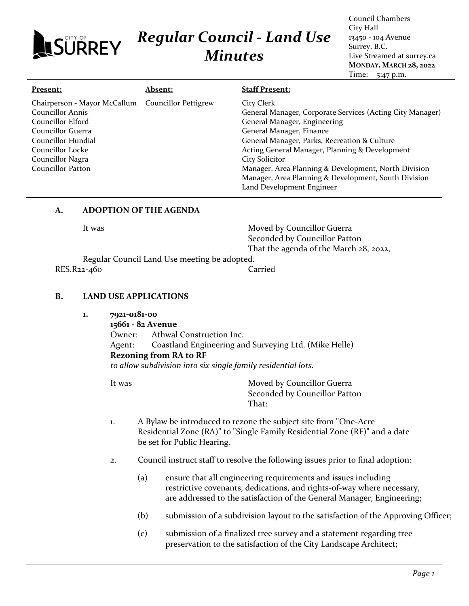# *Regular Council - Land Use Minutes*

Council Chambers City Hall 13450 - 104 Avenue Surrey, B.C. Live Streamed at surrey.ca **MONDAY, MARCH 28, 2022** Time: 5:47 p.m.

| Chairperson - Mayor McCallum Councillor Pettigrew                                                                                                                                                                                                                                                                                                                 | Present: | <b>Absent:</b> | <b>Staff Present:</b>                                                                                                                                                                   |
|-------------------------------------------------------------------------------------------------------------------------------------------------------------------------------------------------------------------------------------------------------------------------------------------------------------------------------------------------------------------|----------|----------------|-----------------------------------------------------------------------------------------------------------------------------------------------------------------------------------------|
| <b>Councillor Annis</b><br>General Manager, Engineering<br>Councillor Elford<br>General Manager, Finance<br>Councillor Guerra<br>General Manager, Parks, Recreation & Culture<br>Councillor Hundial<br>Acting General Manager, Planning & Development<br>Councillor Locke<br>City Solicitor<br>Councillor Nagra<br>Councillor Patton<br>Land Development Engineer |          |                | City Clerk<br>General Manager, Corporate Services (Acting City Manager)<br>Manager, Area Planning & Development, North Division<br>Manager, Area Planning & Development, South Division |

#### **A. ADOPTION OF THE AGENDA**

**JSÜRREY** 

It was **Moved by Councillor Guerra** Seconded by Councillor Patton That the agenda of the March 28, 2022,

Regular Council Land Use meeting be adopted. RES.R22-460 Carried

#### **B. LAND USE APPLICATIONS**

**1. 7921-0181-00**

**15661 - 82 Avenue** Owner: Athwal Construction Inc. Agent: Coastland Engineering and Surveying Ltd. (Mike Helle) **Rezoning from RA to RF** *to allow subdivision into six single family residential lots.*

It was **Moved by Councillor Guerra** Seconded by Councillor Patton That:

- 1. A Bylaw be introduced to rezone the subject site from "One-Acre Residential Zone (RA)" to "Single Family Residential Zone (RF)" and a date be set for Public Hearing.
- 2. Council instruct staff to resolve the following issues prior to final adoption:
	- (a) ensure that all engineering requirements and issues including restrictive covenants, dedications, and rights-of-way where necessary, are addressed to the satisfaction of the General Manager, Engineering;
	- (b) submission of a subdivision layout to the satisfaction of the Approving Officer;
	- (c) submission of a finalized tree survey and a statement regarding tree preservation to the satisfaction of the City Landscape Architect;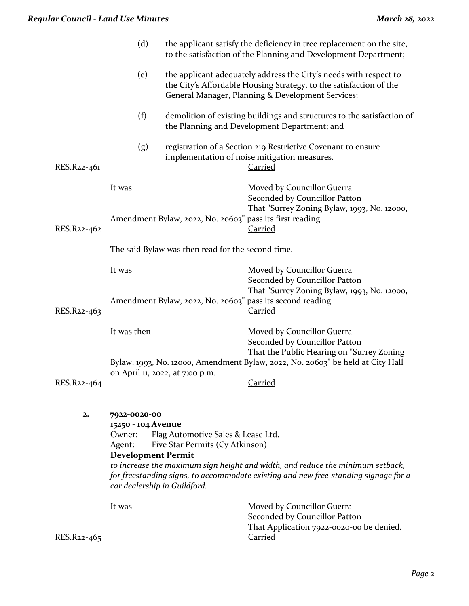|                | (d)                                                                                                                 |                                                                       | the applicant satisfy the deficiency in tree replacement on the site,<br>to the satisfaction of the Planning and Development Department;                                                     |
|----------------|---------------------------------------------------------------------------------------------------------------------|-----------------------------------------------------------------------|----------------------------------------------------------------------------------------------------------------------------------------------------------------------------------------------|
|                | (e)                                                                                                                 |                                                                       | the applicant adequately address the City's needs with respect to<br>the City's Affordable Housing Strategy, to the satisfaction of the<br>General Manager, Planning & Development Services; |
|                | (f)                                                                                                                 |                                                                       | demolition of existing buildings and structures to the satisfaction of<br>the Planning and Development Department; and                                                                       |
| RES.R22-461    | (g)                                                                                                                 |                                                                       | registration of a Section 219 Restrictive Covenant to ensure<br>implementation of noise mitigation measures.<br><b>Carried</b>                                                               |
| RES.R22-462    | It was                                                                                                              | Amendment Bylaw, 2022, No. 20603" pass its first reading.             | Moved by Councillor Guerra<br>Seconded by Councillor Patton<br>That "Surrey Zoning Bylaw, 1993, No. 12000,<br><b>Carried</b>                                                                 |
|                |                                                                                                                     | The said Bylaw was then read for the second time.                     |                                                                                                                                                                                              |
|                | It was                                                                                                              |                                                                       | Moved by Councillor Guerra<br>Seconded by Councillor Patton<br>That "Surrey Zoning Bylaw, 1993, No. 12000,                                                                                   |
| RES.R22-463    |                                                                                                                     |                                                                       | Amendment Bylaw, 2022, No. 20603" pass its second reading.<br><b>Carried</b>                                                                                                                 |
|                | It was then                                                                                                         |                                                                       | Moved by Councillor Guerra<br>Seconded by Councillor Patton<br>That the Public Hearing on "Surrey Zoning<br>Bylaw, 1993, No. 12000, Amendment Bylaw, 2022, No. 20603" be held at City Hall   |
| RES.R22-464    |                                                                                                                     | on April 11, 2022, at 7:00 p.m.                                       | <b>Carried</b>                                                                                                                                                                               |
| $\mathbf{2}$ . | 7922-0020-00<br>15250 - 104 Avenue<br>Owner:<br>Agent:<br><b>Development Permit</b><br>car dealership in Guildford. | Flag Automotive Sales & Lease Ltd.<br>Five Star Permits (Cy Atkinson) | to increase the maximum sign height and width, and reduce the minimum setback,<br>for freestanding signs, to accommodate existing and new free-standing signage for a                        |
| RES.R22-465    | It was                                                                                                              |                                                                       | Moved by Councillor Guerra<br>Seconded by Councillor Patton<br>That Application 7922-0020-00 be denied.<br><b>Carried</b>                                                                    |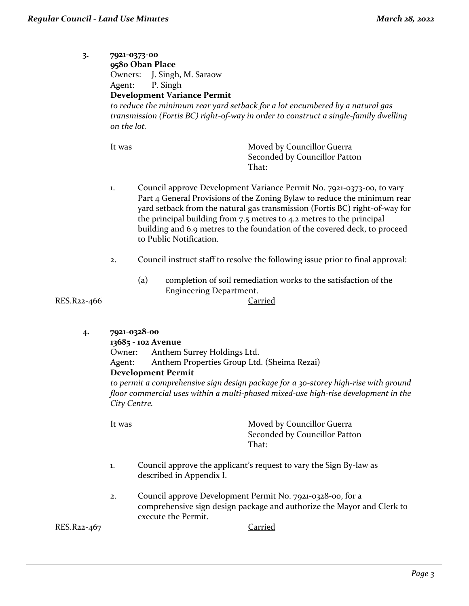**3. 7921-0373-00 9580 Oban Place** Owners: J. Singh, M. Saraow Agent: P. Singh **Development Variance Permit** *to reduce the minimum rear yard setback for a lot encumbered by a natural gas transmission (Fortis BC) right-of-way in order to construct a single-family dwelling on the lot.*

It was Moved by Councillor Guerra Seconded by Councillor Patton That:

- 1. Council approve Development Variance Permit No. 7921-0373-00, to vary Part 4 General Provisions of the Zoning Bylaw to reduce the minimum rear yard setback from the natural gas transmission (Fortis BC) right-of-way for the principal building from 7.5 metres to 4.2 metres to the principal building and 6.9 metres to the foundation of the covered deck, to proceed to Public Notification.
- 2. Council instruct staff to resolve the following issue prior to final approval:
	- (a) completion of soil remediation works to the satisfaction of the Engineering Department.

RES.R22-466 Carried

**4. 7921-0328-00**

#### **13685 - 102 Avenue**

Owner: Anthem Surrey Holdings Ltd. Agent: Anthem Properties Group Ltd. (Sheima Rezai)

**Development Permit**

*to permit a comprehensive sign design package for a 30-storey high-rise with ground floor commercial uses within a multi-phased mixed-use high-rise development in the City Centre.*

It was **Moved by Councillor Guerra** Seconded by Councillor Patton That:

- 1. Council approve the applicant's request to vary the Sign By-law as described in Appendix I.
- 2. Council approve Development Permit No. 7921-0328-00, for a comprehensive sign design package and authorize the Mayor and Clerk to execute the Permit.

RES.R22-467 Carried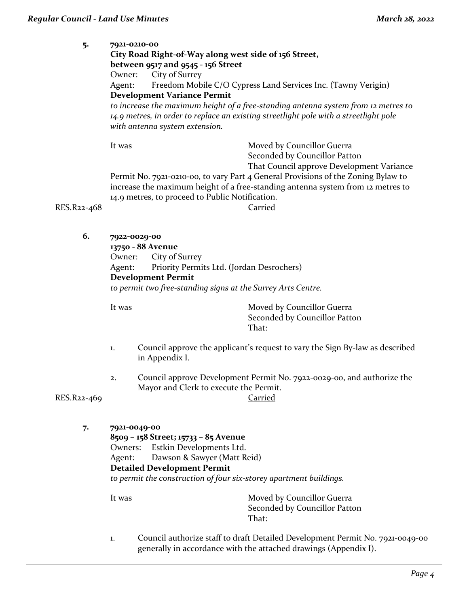| 5.          | 7921-0210-00                       |                                                       |                                                                                       |  |
|-------------|------------------------------------|-------------------------------------------------------|---------------------------------------------------------------------------------------|--|
|             |                                    | City Road Right-of-Way along west side of 156 Street, |                                                                                       |  |
|             | between 9517 and 9545 - 156 Street |                                                       |                                                                                       |  |
|             | Owner:                             | City of Surrey                                        |                                                                                       |  |
|             | Agent:                             |                                                       | Freedom Mobile C/O Cypress Land Services Inc. (Tawny Verigin)                         |  |
|             |                                    | <b>Development Variance Permit</b>                    |                                                                                       |  |
|             |                                    |                                                       | to increase the maximum height of a free-standing antenna system from 12 metres to    |  |
|             |                                    |                                                       | 14.9 metres, in order to replace an existing streetlight pole with a streetlight pole |  |
|             |                                    | with antenna system extension.                        |                                                                                       |  |
|             | It was                             |                                                       | Moved by Councillor Guerra                                                            |  |
|             |                                    |                                                       | Seconded by Councillor Patton                                                         |  |
|             |                                    |                                                       | That Council approve Development Variance                                             |  |
|             |                                    |                                                       | Permit No. 7921-0210-00, to vary Part 4 General Provisions of the Zoning Bylaw to     |  |
|             |                                    |                                                       | increase the maximum height of a free-standing antenna system from 12 metres to       |  |
|             |                                    | 14.9 metres, to proceed to Public Notification.       |                                                                                       |  |
| RES.R22-468 |                                    |                                                       | Carried                                                                               |  |
|             |                                    |                                                       |                                                                                       |  |
|             |                                    |                                                       |                                                                                       |  |

**6. 7922-0029-00**

**13750 - 88 Avenue** Owner: City of Surrey Agent: Priority Permits Ltd. (Jordan Desrochers) **Development Permit** *to permit two free-standing signs at the Surrey Arts Centre.*

It was **Moved by Councillor Guerra** Seconded by Councillor Patton That:

- 1. Council approve the applicant's request to vary the Sign By-law as described in Appendix I.
- 2. Council approve Development Permit No. 7922-0029-00, and authorize the Mayor and Clerk to execute the Permit.

RES.R22-469 Carried

**7. 7921-0049-00 8509 – 158 Street; 15733 – 85 Avenue** Owners: Estkin Developments Ltd. Agent: Dawson & Sawyer (Matt Reid) **Detailed Development Permit** *to permit the construction of four six-storey apartment buildings.* It was **Moved by Councillor Guerra** 

Seconded by Councillor Patton That:

1. Council authorize staff to draft Detailed Development Permit No. 7921-0049-00 generally in accordance with the attached drawings (Appendix I).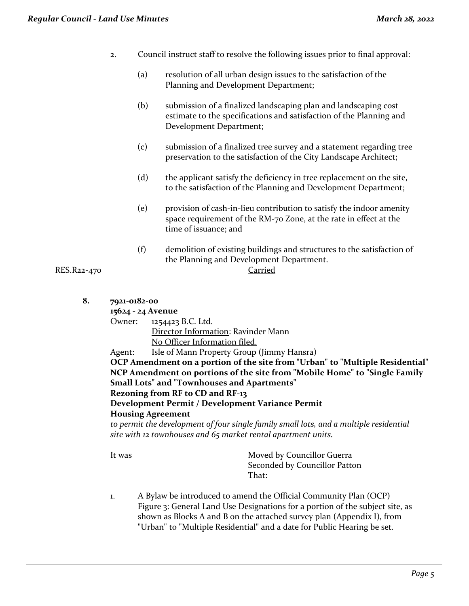- 2. Council instruct staff to resolve the following issues prior to final approval:
	- (a) resolution of all urban design issues to the satisfaction of the Planning and Development Department;
	- (b) submission of a finalized landscaping plan and landscaping cost estimate to the specifications and satisfaction of the Planning and Development Department;
	- (c) submission of a finalized tree survey and a statement regarding tree preservation to the satisfaction of the City Landscape Architect;
	- (d) the applicant satisfy the deficiency in tree replacement on the site, to the satisfaction of the Planning and Development Department;
	- (e) provision of cash-in-lieu contribution to satisfy the indoor amenity space requirement of the RM-70 Zone, at the rate in effect at the time of issuance; and
	- (f) demolition of existing buildings and structures to the satisfaction of the Planning and Development Department.

RES.R22-470 Carried

**8. 7921-0182-00**

**15624 - 24 Avenue**

Owner: 1254423 B.C. Ltd. Director Information: Ravinder Mann No Officer Information filed.

Agent: Isle of Mann Property Group (Jimmy Hansra)

**OCP Amendment on a portion of the site from "Urban" to "Multiple Residential" NCP Amendment on portions of the site from "Mobile Home" to "Single Family Small Lots" and "Townhouses and Apartments"**

**Rezoning from RF to CD and RF-13**

**Development Permit / Development Variance Permit Housing Agreement**

*to permit the development of four single family small lots, and a multiple residential site with 12 townhouses and 65 market rental apartment units.*

It was Moved by Councillor Guerra Seconded by Councillor Patton That:

1. A Bylaw be introduced to amend the Official Community Plan (OCP) Figure 3: General Land Use Designations for a portion of the subject site, as shown as Blocks A and B on the attached survey plan (Appendix I), from "Urban" to "Multiple Residential" and a date for Public Hearing be set.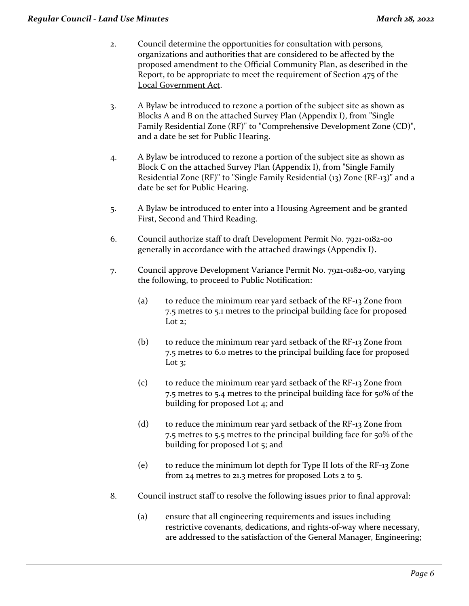- 2. Council determine the opportunities for consultation with persons, organizations and authorities that are considered to be affected by the proposed amendment to the Official Community Plan, as described in the Report, to be appropriate to meet the requirement of Section 475 of the Local Government Act.
- 3. A Bylaw be introduced to rezone a portion of the subject site as shown as Blocks A and B on the attached Survey Plan (Appendix I), from "Single Family Residential Zone (RF)" to "Comprehensive Development Zone (CD)", and a date be set for Public Hearing.
- 4. A Bylaw be introduced to rezone a portion of the subject site as shown as Block C on the attached Survey Plan (Appendix I), from "Single Family Residential Zone (RF)" to "Single Family Residential (13) Zone (RF-13)" and a date be set for Public Hearing.
- 5. A Bylaw be introduced to enter into a Housing Agreement and be granted First, Second and Third Reading.
- 6. Council authorize staff to draft Development Permit No. 7921-0182-00 generally in accordance with the attached drawings (Appendix I)**.**
- 7. Council approve Development Variance Permit No. 7921-0182-00, varying the following, to proceed to Public Notification:
	- (a) to reduce the minimum rear yard setback of the RF-13 Zone from 7.5 metres to 5.1 metres to the principal building face for proposed Lot 2:
	- (b) to reduce the minimum rear yard setback of the RF-13 Zone from 7.5 metres to 6.0 metres to the principal building face for proposed Lot  $3$ ;
	- (c) to reduce the minimum rear yard setback of the RF-13 Zone from 7.5 metres to 5.4 metres to the principal building face for 50% of the building for proposed Lot 4; and
	- (d) to reduce the minimum rear yard setback of the RF-13 Zone from 7.5 metres to 5.5 metres to the principal building face for 50% of the building for proposed Lot 5; and
	- (e) to reduce the minimum lot depth for Type II lots of the RF-13 Zone from 24 metres to 21.3 metres for proposed Lots 2 to 5.
- 8. Council instruct staff to resolve the following issues prior to final approval:
	- (a) ensure that all engineering requirements and issues including restrictive covenants, dedications, and rights-of-way where necessary, are addressed to the satisfaction of the General Manager, Engineering;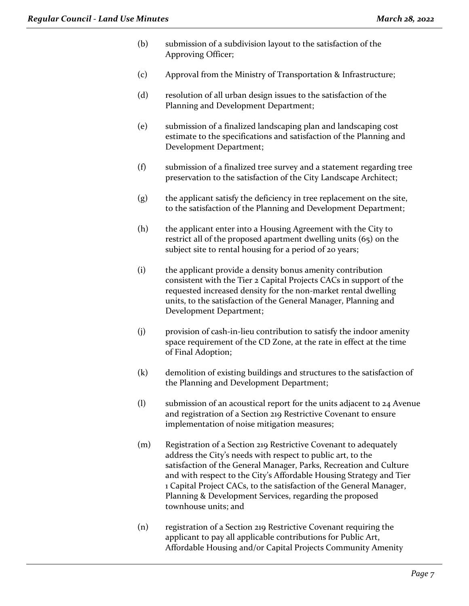- (b) submission of a subdivision layout to the satisfaction of the Approving Officer;
- (c) Approval from the Ministry of Transportation & Infrastructure;
- (d) resolution of all urban design issues to the satisfaction of the Planning and Development Department;
- (e) submission of a finalized landscaping plan and landscaping cost estimate to the specifications and satisfaction of the Planning and Development Department;
- (f) submission of a finalized tree survey and a statement regarding tree preservation to the satisfaction of the City Landscape Architect;
- (g) the applicant satisfy the deficiency in tree replacement on the site, to the satisfaction of the Planning and Development Department;
- (h) the applicant enter into a Housing Agreement with the City to restrict all of the proposed apartment dwelling units (65) on the subject site to rental housing for a period of 20 years;
- (i) the applicant provide a density bonus amenity contribution consistent with the Tier 2 Capital Projects CACs in support of the requested increased density for the non-market rental dwelling units, to the satisfaction of the General Manager, Planning and Development Department;
- (j) provision of cash-in-lieu contribution to satisfy the indoor amenity space requirement of the CD Zone, at the rate in effect at the time of Final Adoption;
- (k) demolition of existing buildings and structures to the satisfaction of the Planning and Development Department;
- (l) submission of an acoustical report for the units adjacent to 24 Avenue and registration of a Section 219 Restrictive Covenant to ensure implementation of noise mitigation measures;
- (m) Registration of a Section 219 Restrictive Covenant to adequately address the City's needs with respect to public art, to the satisfaction of the General Manager, Parks, Recreation and Culture and with respect to the City's Affordable Housing Strategy and Tier 1 Capital Project CACs, to the satisfaction of the General Manager, Planning & Development Services, regarding the proposed townhouse units; and
- (n) registration of a Section 219 Restrictive Covenant requiring the applicant to pay all applicable contributions for Public Art, Affordable Housing and/or Capital Projects Community Amenity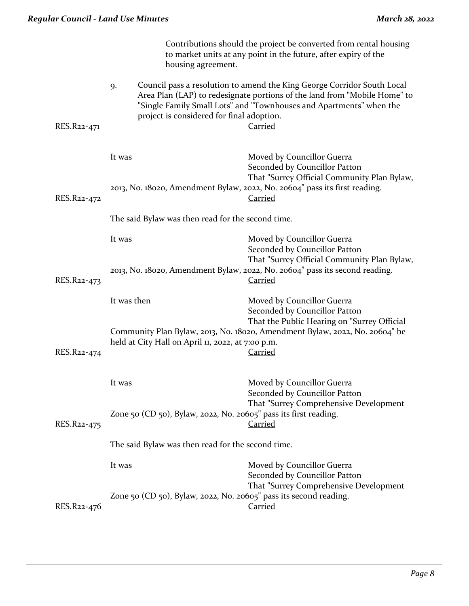|             | housing agreement.                                                | Contributions should the project be converted from rental housing<br>to market units at any point in the future, after expiry of the                                                                                                          |
|-------------|-------------------------------------------------------------------|-----------------------------------------------------------------------------------------------------------------------------------------------------------------------------------------------------------------------------------------------|
| RES.R22-471 | 9.<br>project is considered for final adoption.                   | Council pass a resolution to amend the King George Corridor South Local<br>Area Plan (LAP) to redesignate portions of the land from "Mobile Home" to<br>"Single Family Small Lots" and "Townhouses and Apartments" when the<br><b>Carried</b> |
|             | It was                                                            | Moved by Councillor Guerra<br>Seconded by Councillor Patton<br>That "Surrey Official Community Plan Bylaw,<br>2013, No. 18020, Amendment Bylaw, 2022, No. 20604" pass its first reading.                                                      |
| RES.R22-472 |                                                                   | <b>Carried</b>                                                                                                                                                                                                                                |
|             | The said Bylaw was then read for the second time.                 |                                                                                                                                                                                                                                               |
|             | It was                                                            | Moved by Councillor Guerra<br>Seconded by Councillor Patton<br>That "Surrey Official Community Plan Bylaw,                                                                                                                                    |
| RES.R22-473 |                                                                   | 2013, No. 18020, Amendment Bylaw, 2022, No. 20604" pass its second reading.<br><b>Carried</b>                                                                                                                                                 |
|             | It was then                                                       | Moved by Councillor Guerra<br>Seconded by Councillor Patton<br>That the Public Hearing on "Surrey Official                                                                                                                                    |
| RES.R22-474 | held at City Hall on April 11, 2022, at 7:00 p.m.                 | Community Plan Bylaw, 2013, No. 18020, Amendment Bylaw, 2022, No. 20604" be<br><b>Carried</b>                                                                                                                                                 |
|             | It was                                                            | Moved by Councillor Guerra<br>Seconded by Councillor Patton<br>That "Surrey Comprehensive Development                                                                                                                                         |
| RES.R22-475 | Zone 50 (CD 50), Bylaw, 2022, No. 20605" pass its first reading.  | <u>Carried</u>                                                                                                                                                                                                                                |
|             | The said Bylaw was then read for the second time.                 |                                                                                                                                                                                                                                               |
|             | It was                                                            | Moved by Councillor Guerra<br>Seconded by Councillor Patton<br>That "Surrey Comprehensive Development                                                                                                                                         |
| RES.R22-476 | Zone 50 (CD 50), Bylaw, 2022, No. 20605" pass its second reading. | <u>Carried</u>                                                                                                                                                                                                                                |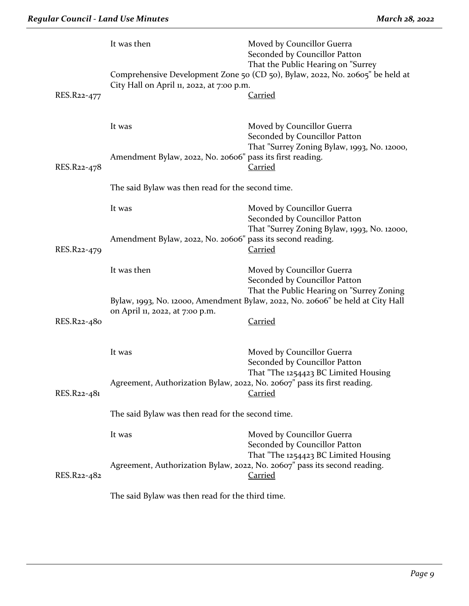|             | It was then                                                              | Moved by Councillor Guerra<br>Seconded by Councillor Patton<br>That the Public Hearing on "Surrey                                   |  |  |
|-------------|--------------------------------------------------------------------------|-------------------------------------------------------------------------------------------------------------------------------------|--|--|
| RES.R22-477 | City Hall on April 11, 2022, at 7:00 p.m.                                | Comprehensive Development Zone 50 (CD 50), Bylaw, 2022, No. 20605" be held at<br><u>Carried</u>                                     |  |  |
|             | It was                                                                   | Moved by Councillor Guerra<br>Seconded by Councillor Patton<br>That "Surrey Zoning Bylaw, 1993, No. 12000,                          |  |  |
| RES.R22-478 | Amendment Bylaw, 2022, No. 20606" pass its first reading.                | <b>Carried</b>                                                                                                                      |  |  |
|             | The said Bylaw was then read for the second time.                        |                                                                                                                                     |  |  |
|             | It was                                                                   | Moved by Councillor Guerra<br>Seconded by Councillor Patton<br>That "Surrey Zoning Bylaw, 1993, No. 12000,                          |  |  |
| RES.R22-479 | Amendment Bylaw, 2022, No. 20606" pass its second reading.               | <b>Carried</b>                                                                                                                      |  |  |
|             | It was then                                                              | Moved by Councillor Guerra<br>Seconded by Councillor Patton<br>That the Public Hearing on "Surrey Zoning                            |  |  |
|             | on April 11, 2022, at 7:00 p.m.                                          | Bylaw, 1993, No. 12000, Amendment Bylaw, 2022, No. 20606" be held at City Hall                                                      |  |  |
| RES.R22-480 |                                                                          | <b>Carried</b>                                                                                                                      |  |  |
|             | It was                                                                   | Moved by Councillor Guerra<br>Seconded by Councillor Patton                                                                         |  |  |
| RES.R22-481 | Agreement, Authorization Bylaw, 2022, No. 20607" pass its first reading. | That "The 1254423 BC Limited Housing<br><b>Carried</b>                                                                              |  |  |
|             | The said Bylaw was then read for the second time.                        |                                                                                                                                     |  |  |
|             | It was                                                                   | Moved by Councillor Guerra<br>Seconded by Councillor Patton                                                                         |  |  |
| RES.R22-482 |                                                                          | That "The 1254423 BC Limited Housing<br>Agreement, Authorization Bylaw, 2022, No. 20607" pass its second reading.<br><b>Carried</b> |  |  |
|             | The said Bylaw was then read for the third time.                         |                                                                                                                                     |  |  |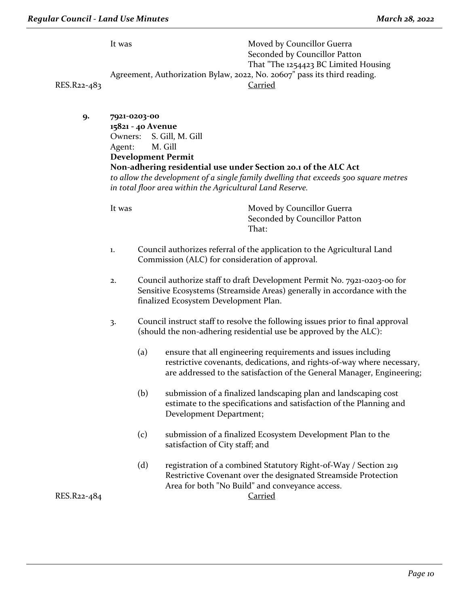|             | It was                                                                   | Moved by Councillor Guerra           |
|-------------|--------------------------------------------------------------------------|--------------------------------------|
|             |                                                                          | Seconded by Councillor Patton        |
|             |                                                                          | That "The 1254423 BC Limited Housing |
|             | Agreement, Authorization Bylaw, 2022, No. 20607" pass its third reading. |                                      |
| RES.R22-483 |                                                                          | Carried                              |
|             |                                                                          |                                      |

**9. 7921-0203-00 15821 - 40 Avenue** Owners: S. Gill, M. Gill Agent: M. Gill **Development Permit Non-adhering residential use under Section 20.1 of the ALC Act** *to allow the development of a single family dwelling that exceeds 500 square metres in total floor area within the Agricultural Land Reserve.*

It was Moved by Councillor Guerra Seconded by Councillor Patton That:

- 1. Council authorizes referral of the application to the Agricultural Land Commission (ALC) for consideration of approval.
- 2. Council authorize staff to draft Development Permit No. 7921-0203-00 for Sensitive Ecosystems (Streamside Areas) generally in accordance with the finalized Ecosystem Development Plan.
- 3. Council instruct staff to resolve the following issues prior to final approval (should the non-adhering residential use be approved by the ALC):
	- (a) ensure that all engineering requirements and issues including restrictive covenants, dedications, and rights-of-way where necessary, are addressed to the satisfaction of the General Manager, Engineering;
	- (b) submission of a finalized landscaping plan and landscaping cost estimate to the specifications and satisfaction of the Planning and Development Department;
	- (c) submission of a finalized Ecosystem Development Plan to the satisfaction of City staff; and
	- (d) registration of a combined Statutory Right-of-Way / Section 219 Restrictive Covenant over the designated Streamside Protection Area for both "No Build" and conveyance access.

RES.R22-484 Carried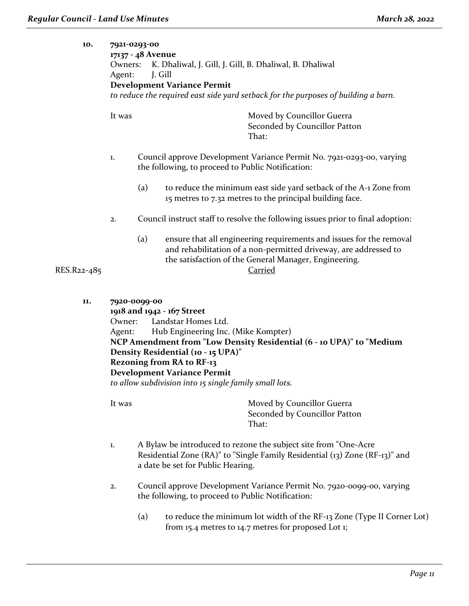| 10.         | 7921-0293-00<br>Owners:<br>Agent: | 17137 - 48 Avenue<br>K. Dhaliwal, J. Gill, J. Gill, B. Dhaliwal, B. Dhaliwal<br>J. Gill<br><b>Development Variance Permit</b><br>to reduce the required east side yard setback for the purposes of building a barn.                                                                                                                                        |
|-------------|-----------------------------------|------------------------------------------------------------------------------------------------------------------------------------------------------------------------------------------------------------------------------------------------------------------------------------------------------------------------------------------------------------|
|             | It was                            | Moved by Councillor Guerra<br>Seconded by Councillor Patton<br>That:                                                                                                                                                                                                                                                                                       |
|             | 1.                                | Council approve Development Variance Permit No. 7921-0293-00, varying<br>the following, to proceed to Public Notification:                                                                                                                                                                                                                                 |
|             |                                   | (a)<br>to reduce the minimum east side yard setback of the A-1 Zone from<br>15 metres to 7.32 metres to the principal building face.                                                                                                                                                                                                                       |
|             | 2.                                | Council instruct staff to resolve the following issues prior to final adoption:                                                                                                                                                                                                                                                                            |
| RES.R22-485 |                                   | (a)<br>ensure that all engineering requirements and issues for the removal<br>and rehabilitation of a non-permitted driveway, are addressed to<br>the satisfaction of the General Manager, Engineering.<br><b>Carried</b>                                                                                                                                  |
| 11.         | Owner:<br>Agent:                  | 7920-0099-00<br>1918 and 1942 - 167 Street<br>Landstar Homes Ltd.<br>Hub Engineering Inc. (Mike Kompter)<br>NCP Amendment from "Low Density Residential (6 - 10 UPA)" to "Medium<br>Density Residential (10 - 15 UPA)"<br><b>Rezoning from RA to RF-13</b><br><b>Development Variance Permit</b><br>to allow subdivision into 15 single family small lots. |
|             | It was                            | Moved by Councillor Guerra<br>Seconded by Councillor Patton<br>That:                                                                                                                                                                                                                                                                                       |
|             | 1.                                | A Bylaw be introduced to rezone the subject site from "One-Acre"<br>Residential Zone (RA)" to "Single Family Residential (13) Zone (RF-13)" and<br>a date be set for Public Hearing.                                                                                                                                                                       |
|             | 2.                                | Council approve Development Variance Permit No. 7920-0099-00, varying<br>the following, to proceed to Public Notification:                                                                                                                                                                                                                                 |

(a) to reduce the minimum lot width of the RF-13 Zone (Type II Corner Lot) from 15.4 metres to 14.7 metres for proposed Lot 1;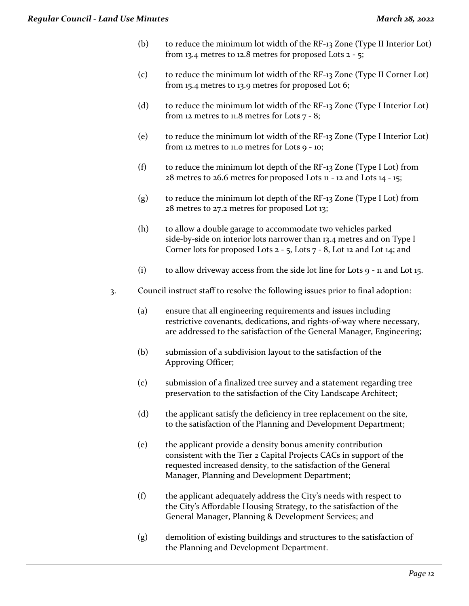- (b) to reduce the minimum lot width of the RF-13 Zone (Type II Interior Lot) from 13.4 metres to 12.8 metres for proposed Lots  $2 - 5$ ;
- (c) to reduce the minimum lot width of the RF-13 Zone (Type II Corner Lot) from 15.4 metres to 13.9 metres for proposed Lot 6;
- (d) to reduce the minimum lot width of the RF-13 Zone (Type I Interior Lot) from 12 metres to 11.8 metres for Lots  $7 - 8$ ;
- (e) to reduce the minimum lot width of the RF-13 Zone (Type I Interior Lot) from 12 metres to 11.0 metres for Lots 9 - 10;
- (f) to reduce the minimum lot depth of the RF-13 Zone (Type I Lot) from  $28$  metres to  $26.6$  metres for proposed Lots  $11 - 12$  and Lots  $14 - 15$ ;
- (g) to reduce the minimum lot depth of the RF-13 Zone (Type I Lot) from 28 metres to 27.2 metres for proposed Lot 13;
- (h) to allow a double garage to accommodate two vehicles parked side-by-side on interior lots narrower than 13.4 metres and on Type I Corner lots for proposed Lots  $2 - 5$ , Lots  $7 - 8$ , Lot 12 and Lot 14; and
- (i) to allow driveway access from the side lot line for Lots 9 11 and Lot 15.
- 3. Council instruct staff to resolve the following issues prior to final adoption:
	- (a) ensure that all engineering requirements and issues including restrictive covenants, dedications, and rights-of-way where necessary, are addressed to the satisfaction of the General Manager, Engineering;
	- (b) submission of a subdivision layout to the satisfaction of the Approving Officer;
	- (c) submission of a finalized tree survey and a statement regarding tree preservation to the satisfaction of the City Landscape Architect;
	- (d) the applicant satisfy the deficiency in tree replacement on the site, to the satisfaction of the Planning and Development Department;
	- (e) the applicant provide a density bonus amenity contribution consistent with the Tier 2 Capital Projects CACs in support of the requested increased density, to the satisfaction of the General Manager, Planning and Development Department;
	- (f) the applicant adequately address the City's needs with respect to the City's Affordable Housing Strategy, to the satisfaction of the General Manager, Planning & Development Services; and
	- (g) demolition of existing buildings and structures to the satisfaction of the Planning and Development Department.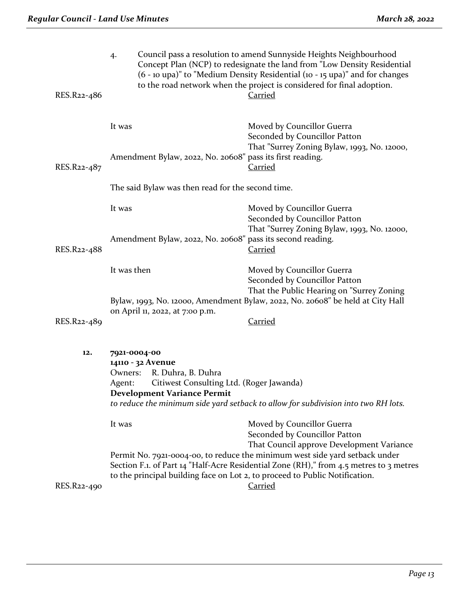| RES.R22-486              | 4.                                                                                | Council pass a resolution to amend Sunnyside Heights Neighbourhood<br>Concept Plan (NCP) to redesignate the land from "Low Density Residential<br>(6 - 10 upa)" to "Medium Density Residential (10 - 15 upa)" and for changes<br>to the road network when the project is considered for final adoption.<br><b>Carried</b> |  |
|--------------------------|-----------------------------------------------------------------------------------|---------------------------------------------------------------------------------------------------------------------------------------------------------------------------------------------------------------------------------------------------------------------------------------------------------------------------|--|
|                          | It was<br>Amendment Bylaw, 2022, No. 20608" pass its first reading.               | Moved by Councillor Guerra<br>Seconded by Councillor Patton<br>That "Surrey Zoning Bylaw, 1993, No. 12000,                                                                                                                                                                                                                |  |
| RES.R <sub>22-4</sub> 87 |                                                                                   | <u>Carried</u>                                                                                                                                                                                                                                                                                                            |  |
|                          | The said Bylaw was then read for the second time.                                 |                                                                                                                                                                                                                                                                                                                           |  |
|                          | It was                                                                            | Moved by Councillor Guerra<br>Seconded by Councillor Patton<br>That "Surrey Zoning Bylaw, 1993, No. 12000,                                                                                                                                                                                                                |  |
| RES.R22-488              | Amendment Bylaw, 2022, No. 20608" pass its second reading.                        | <b>Carried</b>                                                                                                                                                                                                                                                                                                            |  |
|                          | It was then                                                                       | Moved by Councillor Guerra<br>Seconded by Councillor Patton<br>That the Public Hearing on "Surrey Zoning                                                                                                                                                                                                                  |  |
|                          | on April 11, 2022, at 7:00 p.m.                                                   | Bylaw, 1993, No. 12000, Amendment Bylaw, 2022, No. 20608" be held at City Hall                                                                                                                                                                                                                                            |  |
| RES.R22-489              |                                                                                   | <b>Carried</b>                                                                                                                                                                                                                                                                                                            |  |
| 12.                      | 7921-0004-00<br>14110 - 32 Avenue<br>R. Duhra, B. Duhra<br>Owners:                |                                                                                                                                                                                                                                                                                                                           |  |
|                          | Citiwest Consulting Ltd. (Roger Jawanda)<br>Agent:<br>Development Variance Permit |                                                                                                                                                                                                                                                                                                                           |  |
|                          |                                                                                   | to reduce the minimum side yard setback to allow for subdivision into two RH lots.                                                                                                                                                                                                                                        |  |
|                          | It was                                                                            | Moved by Councillor Guerra<br>Seconded by Councillor Patton<br>That Council approve Development Variance                                                                                                                                                                                                                  |  |
|                          | to the principal building face on Lot 2, to proceed to Public Notification.       | Permit No. 7921-0004-00, to reduce the minimum west side yard setback under<br>Section F.1. of Part 14 "Half-Acre Residential Zone (RH)," from 4.5 metres to 3 metres                                                                                                                                                     |  |
| RES.R22-490              |                                                                                   | <b>Carried</b>                                                                                                                                                                                                                                                                                                            |  |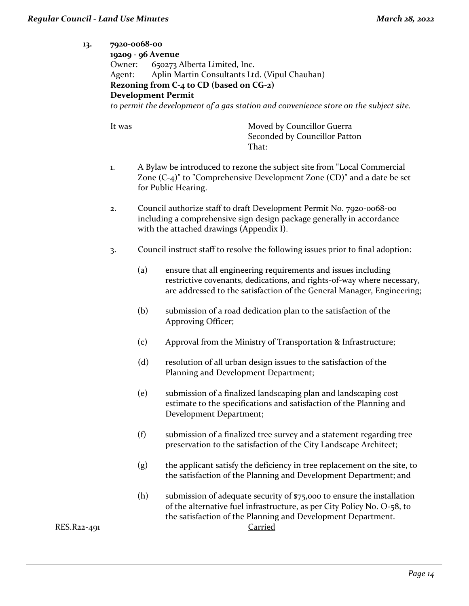**13.** 

| Owner:<br>Agent: | 7920-0068-00<br>19209 - 96 Avenue | 650273 Alberta Limited, Inc.<br>Aplin Martin Consultants Ltd. (Vipul Chauhan)<br>Rezoning from C-4 to CD (based on CG-2)<br><b>Development Permit</b><br>to permit the development of a gas station and convenience store on the subject site. |
|------------------|-----------------------------------|------------------------------------------------------------------------------------------------------------------------------------------------------------------------------------------------------------------------------------------------|
| It was           |                                   | Moved by Councillor Guerra<br>Seconded by Councillor Patton<br>That:                                                                                                                                                                           |
| 1.               |                                   | A Bylaw be introduced to rezone the subject site from "Local Commercial<br>Zone $(C-4)$ " to "Comprehensive Development Zone $(CD)$ " and a date be set<br>for Public Hearing.                                                                 |
| 2.               |                                   | Council authorize staff to draft Development Permit No. 7920-0068-00<br>including a comprehensive sign design package generally in accordance<br>with the attached drawings (Appendix I).                                                      |
| 3.               |                                   | Council instruct staff to resolve the following issues prior to final adoption:                                                                                                                                                                |
|                  | (a)                               | ensure that all engineering requirements and issues including<br>restrictive covenants, dedications, and rights-of-way where necessary,<br>are addressed to the satisfaction of the General Manager, Engineering;                              |
|                  | (b)                               | submission of a road dedication plan to the satisfaction of the<br>Approving Officer;                                                                                                                                                          |
|                  | (c)                               | Approval from the Ministry of Transportation & Infrastructure;                                                                                                                                                                                 |
|                  | (d)                               | resolution of all urban design issues to the satisfaction of the<br>Planning and Development Department;                                                                                                                                       |
|                  | (e)                               | submission of a finalized landscaping plan and landscaping cost<br>estimate to the specifications and satisfaction of the Planning and<br>Development Department;                                                                              |
|                  | (f)                               | submission of a finalized tree survey and a statement regarding tree<br>preservation to the satisfaction of the City Landscape Architect;                                                                                                      |
|                  | (g)                               | the applicant satisfy the deficiency in tree replacement on the site, to<br>the satisfaction of the Planning and Development Department; and                                                                                                   |
|                  | (h)                               | submission of adequate security of \$75,000 to ensure the installation<br>of the alternative fuel infrastructure, as per City Policy No. O-58, to<br>the satisfaction of the Planning and Development Department.<br>Carried                   |

RES.R22-491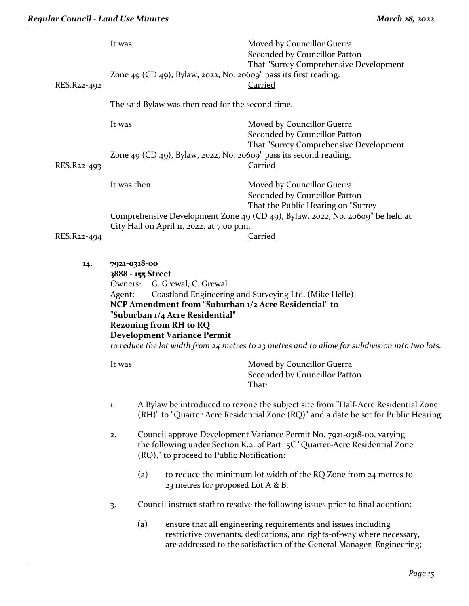|             | It was      |                                                                                                                                                                                                                                      | Moved by Councillor Guerra<br>Seconded by Councillor Patton                                                                                                              |
|-------------|-------------|--------------------------------------------------------------------------------------------------------------------------------------------------------------------------------------------------------------------------------------|--------------------------------------------------------------------------------------------------------------------------------------------------------------------------|
| RES.R22-492 |             | Zone 49 (CD 49), Bylaw, 2022, No. 20609" pass its first reading.                                                                                                                                                                     | That "Surrey Comprehensive Development<br><b>Carried</b>                                                                                                                 |
|             |             | The said Bylaw was then read for the second time.                                                                                                                                                                                    |                                                                                                                                                                          |
|             | It was      |                                                                                                                                                                                                                                      | Moved by Councillor Guerra<br>Seconded by Councillor Patton                                                                                                              |
| RES.R22-493 |             | Zone 49 $(CD_{49})$ , Bylaw, 2022, No. 20609" pass its second reading.                                                                                                                                                               | That "Surrey Comprehensive Development<br><b>Carried</b>                                                                                                                 |
|             | It was then |                                                                                                                                                                                                                                      | Moved by Councillor Guerra<br>Seconded by Councillor Patton<br>That the Public Hearing on "Surrey                                                                        |
| RES.R22-494 |             | City Hall on April 11, 2022, at 7:00 p.m.                                                                                                                                                                                            | Comprehensive Development Zone 49 (CD 49), Bylaw, 2022, No. 20609" be held at<br><b>Carried</b>                                                                          |
| 14.         | Agent:      | 7921-0318-00<br>3888 - 155 Street<br>Owners: G. Grewal, C. Grewal<br>NCP Amendment from "Suburban 1/2 Acre Residential" to<br>"Suburban 1/4 Acre Residential"<br><b>Rezoning from RH to RQ</b><br><b>Development Variance Permit</b> | Coastland Engineering and Surveying Ltd. (Mike Helle)                                                                                                                    |
|             |             |                                                                                                                                                                                                                                      | to reduce the lot width from 24 metres to 23 metres and to allow for subdivision into two lots.                                                                          |
|             | It was      |                                                                                                                                                                                                                                      | Moved by Councillor Guerra<br>Seconded by Councillor Patton<br>That:                                                                                                     |
|             | 1.          |                                                                                                                                                                                                                                      | A Bylaw be introduced to rezone the subject site from "Half-Acre Residential Zone<br>(RH)" to "Quarter Acre Residential Zone (RQ)" and a date be set for Public Hearing. |
|             | 2.          | (RQ)," to proceed to Public Notification:                                                                                                                                                                                            | Council approve Development Variance Permit No. 7921-0318-00, varying<br>the following under Section K.2. of Part 15C "Quarter-Acre Residential Zone                     |
|             |             | (a)<br>23 metres for proposed Lot A & B.                                                                                                                                                                                             | to reduce the minimum lot width of the RQ Zone from 24 metres to                                                                                                         |
|             | 3.          |                                                                                                                                                                                                                                      | Council instruct staff to resolve the following issues prior to final adoption:                                                                                          |
|             |             | (a)                                                                                                                                                                                                                                  | ensure that all engineering requirements and issues including                                                                                                            |

restrictive covenants, dedications, and rights-of-way where necessary, are addressed to the satisfaction of the General Manager, Engineering;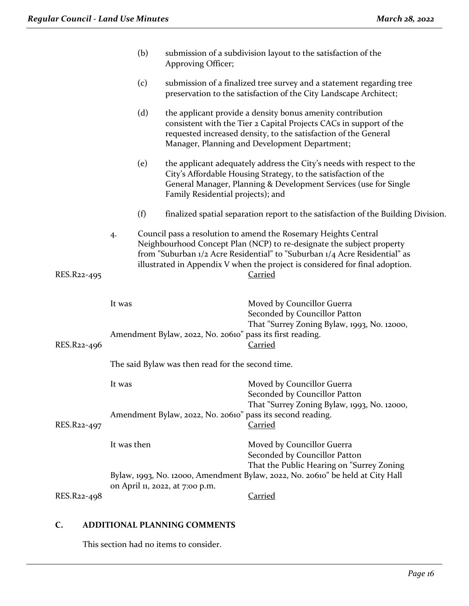|             |             | (b) | Approving Officer;                                        | submission of a subdivision layout to the satisfaction of the                                                                                                                                                                                                                                                            |
|-------------|-------------|-----|-----------------------------------------------------------|--------------------------------------------------------------------------------------------------------------------------------------------------------------------------------------------------------------------------------------------------------------------------------------------------------------------------|
|             |             | (c) |                                                           | submission of a finalized tree survey and a statement regarding tree<br>preservation to the satisfaction of the City Landscape Architect;                                                                                                                                                                                |
|             |             | (d) |                                                           | the applicant provide a density bonus amenity contribution<br>consistent with the Tier 2 Capital Projects CACs in support of the<br>requested increased density, to the satisfaction of the General<br>Manager, Planning and Development Department;                                                                     |
|             |             | (e) | Family Residential projects); and                         | the applicant adequately address the City's needs with respect to the<br>City's Affordable Housing Strategy, to the satisfaction of the<br>General Manager, Planning & Development Services (use for Single                                                                                                              |
|             |             | (f) |                                                           | finalized spatial separation report to the satisfaction of the Building Division.                                                                                                                                                                                                                                        |
| RES.R22-495 | 4.          |     |                                                           | Council pass a resolution to amend the Rosemary Heights Central<br>Neighbourhood Concept Plan (NCP) to re-designate the subject property<br>from "Suburban 1/2 Acre Residential" to "Suburban 1/4 Acre Residential" as<br>illustrated in Appendix V when the project is considered for final adoption.<br><b>Carried</b> |
|             | It was      |     |                                                           | Moved by Councillor Guerra<br>Seconded by Councillor Patton<br>That "Surrey Zoning Bylaw, 1993, No. 12000,                                                                                                                                                                                                               |
| RES.R22-496 |             |     | Amendment Bylaw, 2022, No. 20610" pass its first reading. | <b>Carried</b>                                                                                                                                                                                                                                                                                                           |
|             |             |     | The said Bylaw was then read for the second time.         |                                                                                                                                                                                                                                                                                                                          |
|             | It was      |     |                                                           | Moved by Councillor Guerra<br>Seconded by Councillor Patton                                                                                                                                                                                                                                                              |
| RES.R22-497 |             |     |                                                           | That "Surrey Zoning Bylaw, 1993, No. 12000,<br>Amendment Bylaw, 2022, No. 20610" pass its second reading.<br><b>Carried</b>                                                                                                                                                                                              |
|             | It was then |     |                                                           | Moved by Councillor Guerra<br>Seconded by Councillor Patton                                                                                                                                                                                                                                                              |
|             |             |     |                                                           | That the Public Hearing on "Surrey Zoning<br>Bylaw, 1993, No. 12000, Amendment Bylaw, 2022, No. 20610" be held at City Hall                                                                                                                                                                                              |
| RES.R22-498 |             |     | on April 11, 2022, at 7:00 p.m.                           | <b>Carried</b>                                                                                                                                                                                                                                                                                                           |

# **C. ADDITIONAL PLANNING COMMENTS**

This section had no items to consider.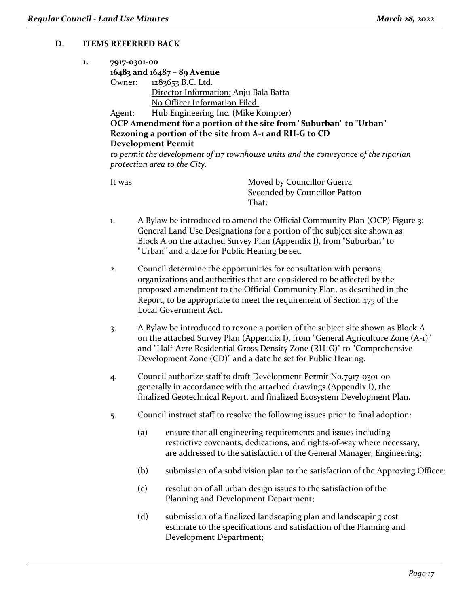#### **D. ITEMS REFERRED BACK**

| ı. | 7917-0301-00 |                                                                    |
|----|--------------|--------------------------------------------------------------------|
|    |              | 16483 and 16487 - 89 Avenue                                        |
|    |              | Owner: 1283653 B.C. Ltd.                                           |
|    |              | Director Information: Anju Bala Batta                              |
|    |              | No Officer Information Filed.                                      |
|    |              | Agent: Hub Engineering Inc. (Mike Kompter)                         |
|    |              | OCP Amendment for a portion of the site from "Suburban" to "Urban" |
|    |              | Rezoning a portion of the site from A-1 and RH-G to CD             |
|    |              | <b>Development Permit</b>                                          |

*to permit the development of 117 townhouse units and the conveyance of the riparian protection area to the City.*

It was Moved by Councillor Guerra Seconded by Councillor Patton That:

- 1. A Bylaw be introduced to amend the Official Community Plan (OCP) Figure 3: General Land Use Designations for a portion of the subject site shown as Block A on the attached Survey Plan (Appendix I), from "Suburban" to "Urban" and a date for Public Hearing be set.
- 2. Council determine the opportunities for consultation with persons, organizations and authorities that are considered to be affected by the proposed amendment to the Official Community Plan, as described in the Report, to be appropriate to meet the requirement of Section 475 of the Local Government Act.
- 3. A Bylaw be introduced to rezone a portion of the subject site shown as Block A on the attached Survey Plan (Appendix I), from "General Agriculture Zone (A-1)" and "Half-Acre Residential Gross Density Zone (RH-G)" to "Comprehensive Development Zone (CD)" and a date be set for Public Hearing.
- 4. Council authorize staff to draft Development Permit No.7917-0301-00 generally in accordance with the attached drawings (Appendix I), the finalized Geotechnical Report, and finalized Ecosystem Development Plan**.**
- 5. Council instruct staff to resolve the following issues prior to final adoption:
	- (a) ensure that all engineering requirements and issues including restrictive covenants, dedications, and rights-of-way where necessary, are addressed to the satisfaction of the General Manager, Engineering;
	- (b) submission of a subdivision plan to the satisfaction of the Approving Officer;
	- (c) resolution of all urban design issues to the satisfaction of the Planning and Development Department;
	- (d) submission of a finalized landscaping plan and landscaping cost estimate to the specifications and satisfaction of the Planning and Development Department;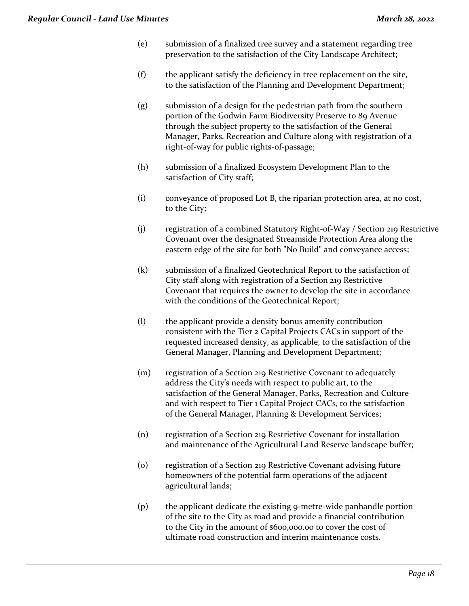- (e) submission of a finalized tree survey and a statement regarding tree preservation to the satisfaction of the City Landscape Architect;
- (f) the applicant satisfy the deficiency in tree replacement on the site, to the satisfaction of the Planning and Development Department;
- (g) submission of a design for the pedestrian path from the southern portion of the Godwin Farm Biodiversity Preserve to 89 Avenue through the subject property to the satisfaction of the General Manager, Parks, Recreation and Culture along with registration of a right-of-way for public rights-of-passage;
- (h) submission of a finalized Ecosystem Development Plan to the satisfaction of City staff;
- (i) conveyance of proposed Lot B, the riparian protection area, at no cost, to the City;
- (j) registration of a combined Statutory Right-of-Way / Section 219 Restrictive Covenant over the designated Streamside Protection Area along the eastern edge of the site for both "No Build" and conveyance access;
- (k) submission of a finalized Geotechnical Report to the satisfaction of City staff along with registration of a Section 219 Restrictive Covenant that requires the owner to develop the site in accordance with the conditions of the Geotechnical Report;
- (l) the applicant provide a density bonus amenity contribution consistent with the Tier 2 Capital Projects CACs in support of the requested increased density, as applicable, to the satisfaction of the General Manager, Planning and Development Department;
- (m) registration of a Section 219 Restrictive Covenant to adequately address the City's needs with respect to public art, to the satisfaction of the General Manager, Parks, Recreation and Culture and with respect to Tier 1 Capital Project CACs, to the satisfaction of the General Manager, Planning & Development Services;
- (n) registration of a Section 219 Restrictive Covenant for installation and maintenance of the Agricultural Land Reserve landscape buffer;
- (o) registration of a Section 219 Restrictive Covenant advising future homeowners of the potential farm operations of the adjacent agricultural lands;
- (p) the applicant dedicate the existing 9-metre-wide panhandle portion of the site to the City as road and provide a financial contribution to the City in the amount of \$600,000.00 to cover the cost of ultimate road construction and interim maintenance costs.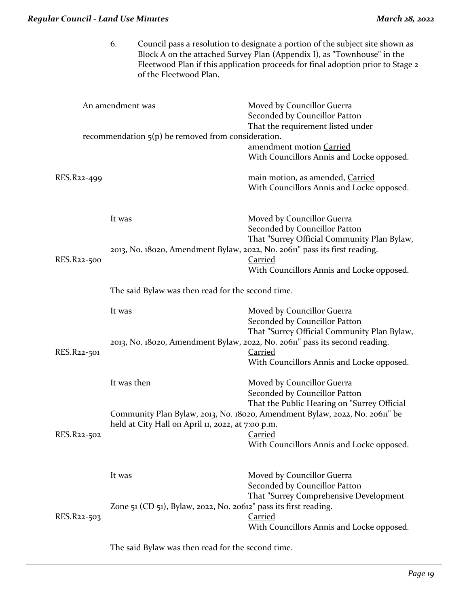|             | 6.                                                | of the Fleetwood Plan.                                           | Council pass a resolution to designate a portion of the subject site shown as<br>Block A on the attached Survey Plan (Appendix I), as "Townhouse" in the<br>Fleetwood Plan if this application proceeds for final adoption prior to Stage 2 |
|-------------|---------------------------------------------------|------------------------------------------------------------------|---------------------------------------------------------------------------------------------------------------------------------------------------------------------------------------------------------------------------------------------|
|             | An amendment was                                  | recommendation $5(p)$ be removed from consideration.             | Moved by Councillor Guerra<br>Seconded by Councillor Patton<br>That the requirement listed under                                                                                                                                            |
|             |                                                   |                                                                  | amendment motion Carried<br>With Councillors Annis and Locke opposed.                                                                                                                                                                       |
| RES.R22-499 |                                                   |                                                                  | main motion, as amended, Carried<br>With Councillors Annis and Locke opposed.                                                                                                                                                               |
|             | It was                                            |                                                                  | Moved by Councillor Guerra<br>Seconded by Councillor Patton<br>That "Surrey Official Community Plan Bylaw,                                                                                                                                  |
| RES.R22-500 |                                                   |                                                                  | 2013, No. 18020, Amendment Bylaw, 2022, No. 20611" pass its first reading.<br><b>Carried</b><br>With Councillors Annis and Locke opposed.                                                                                                   |
|             | The said Bylaw was then read for the second time. |                                                                  |                                                                                                                                                                                                                                             |
|             | It was                                            |                                                                  | Moved by Councillor Guerra<br>Seconded by Councillor Patton<br>That "Surrey Official Community Plan Bylaw,                                                                                                                                  |
| RES.R22-501 |                                                   |                                                                  | 2013, No. 18020, Amendment Bylaw, 2022, No. 20611" pass its second reading.<br><b>Carried</b><br>With Councillors Annis and Locke opposed.                                                                                                  |
|             | It was then                                       |                                                                  | Moved by Councillor Guerra<br>Seconded by Councillor Patton<br>That the Public Hearing on "Surrey Official                                                                                                                                  |
| RES.R22-502 |                                                   | held at City Hall on April 11, 2022, at 7:00 p.m.                | Community Plan Bylaw, 2013, No. 18020, Amendment Bylaw, 2022, No. 20611" be<br><b>Carried</b><br>With Councillors Annis and Locke opposed.                                                                                                  |
|             | It was                                            |                                                                  | Moved by Councillor Guerra<br>Seconded by Councillor Patton<br>That "Surrey Comprehensive Development                                                                                                                                       |
| RES.R22-503 |                                                   | Zone 51 (CD 51), Bylaw, 2022, No. 20612" pass its first reading. | <b>Carried</b><br>With Councillors Annis and Locke opposed.                                                                                                                                                                                 |

The said Bylaw was then read for the second time.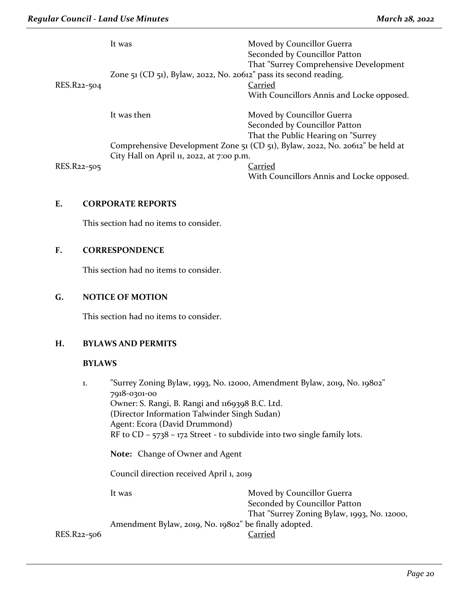|             | It was                                                            | Moved by Councillor Guerra<br>Seconded by Councillor Patton                   |
|-------------|-------------------------------------------------------------------|-------------------------------------------------------------------------------|
|             |                                                                   | That "Surrey Comprehensive Development                                        |
|             | Zone 51 (CD 51), Bylaw, 2022, No. 20612" pass its second reading. |                                                                               |
| RES.R22-504 |                                                                   | Carried                                                                       |
|             |                                                                   | With Councillors Annis and Locke opposed.                                     |
|             |                                                                   |                                                                               |
|             | It was then                                                       | Moved by Councillor Guerra                                                    |
|             |                                                                   | Seconded by Councillor Patton                                                 |
|             |                                                                   | That the Public Hearing on "Surrey                                            |
|             |                                                                   | Comprehensive Development Zone 51 (CD 51), Bylaw, 2022, No. 20612" be held at |
|             | City Hall on April 11, 2022, at 7:00 p.m.                         |                                                                               |
| RES.R22-505 |                                                                   | Carried                                                                       |
|             |                                                                   | With Councillors Annis and Locke opposed.                                     |

## **E. CORPORATE REPORTS**

This section had no items to consider.

### **F. CORRESPONDENCE**

This section had no items to consider.

#### **G. NOTICE OF MOTION**

This section had no items to consider.

#### **H. BYLAWS AND PERMITS**

#### **BYLAWS**

| 1.          | "Surrey Zoning Bylaw, 1993, No. 12000, Amendment Bylaw, 2019, No. 19802"<br>7918-0301-00<br>Owner: S. Rangi, B. Rangi and 1169398 B.C. Ltd.<br>(Director Information Talwinder Singh Sudan)<br>Agent: Ecora (David Drummond)<br>RF to CD – $5738$ – $172$ Street - to subdivide into two single family lots.<br>Note: Change of Owner and Agent<br>Council direction received April 1, 2019 |                                                                                                            |
|-------------|---------------------------------------------------------------------------------------------------------------------------------------------------------------------------------------------------------------------------------------------------------------------------------------------------------------------------------------------------------------------------------------------|------------------------------------------------------------------------------------------------------------|
|             |                                                                                                                                                                                                                                                                                                                                                                                             |                                                                                                            |
|             |                                                                                                                                                                                                                                                                                                                                                                                             |                                                                                                            |
|             | It was                                                                                                                                                                                                                                                                                                                                                                                      | Moved by Councillor Guerra<br>Seconded by Councillor Patton<br>That "Surrey Zoning Bylaw, 1993, No. 12000, |
| RES.R22-506 | Amendment Bylaw, 2019, No. 19802" be finally adopted.                                                                                                                                                                                                                                                                                                                                       | Carried                                                                                                    |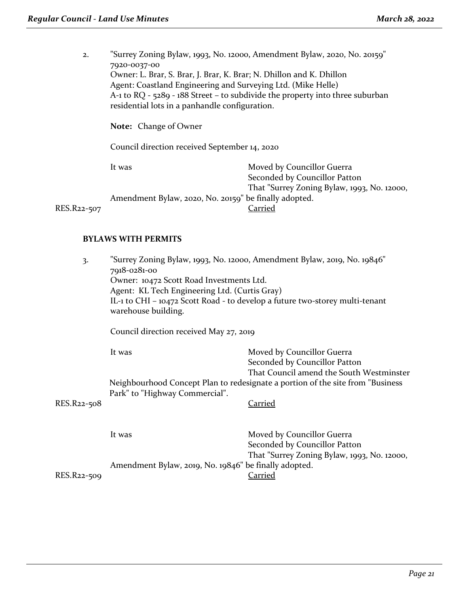2. "Surrey Zoning Bylaw, 1993, No. 12000, Amendment Bylaw, 2020, No. 20159" 7920-0037-00 Owner: L. Brar, S. Brar, J. Brar, K. Brar; N. Dhillon and K. Dhillon Agent: Coastland Engineering and Surveying Ltd. (Mike Helle) A-1 to RQ - 5289 ‐ 188 Street – to subdivide the property into three suburban residential lots in a panhandle configuration. **Note:** Change of Owner Council direction received September 14, 2020 It was Moved by Councillor Guerra Seconded by Councillor Patton

That "Surrey Zoning Bylaw, 1993, No. 12000, Amendment Bylaw, 2020, No. 20159" be finally adopted. RES.R22-507 Carried

#### **BYLAWS WITH PERMITS**

| 3.          | "Surrey Zoning Bylaw, 1993, No. 12000, Amendment Bylaw, 2019, No. 19846"<br>7918-0281-00<br>Owner: 10472 Scott Road Investments Ltd.<br>Agent: KL Tech Engineering Ltd. (Curtis Gray)<br>IL-1 to CHI - 10472 Scott Road - to develop a future two-storey multi-tenant<br>warehouse building. |                                                                                                         |
|-------------|----------------------------------------------------------------------------------------------------------------------------------------------------------------------------------------------------------------------------------------------------------------------------------------------|---------------------------------------------------------------------------------------------------------|
|             | Council direction received May 27, 2019                                                                                                                                                                                                                                                      |                                                                                                         |
|             | It was                                                                                                                                                                                                                                                                                       | Moved by Councillor Guerra<br>Seconded by Councillor Patton<br>That Council amend the South Westminster |
|             | Park" to "Highway Commercial".                                                                                                                                                                                                                                                               | Neighbourhood Concept Plan to redesignate a portion of the site from "Business"                         |
| RES.R22-508 |                                                                                                                                                                                                                                                                                              | Carried                                                                                                 |
|             | It was                                                                                                                                                                                                                                                                                       | Moved by Councillor Guerra<br>Seconded by Councillor Patton                                             |
| RES.R22-509 | Amendment Bylaw, 2019, No. 19846" be finally adopted.                                                                                                                                                                                                                                        | That "Surrey Zoning Bylaw, 1993, No. 12000,<br><b>Carried</b>                                           |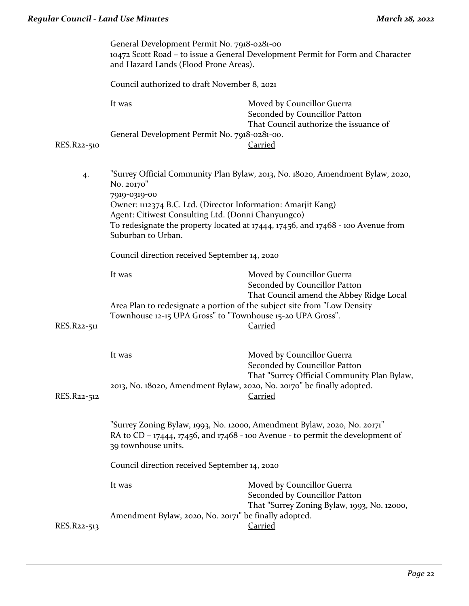|             | General Development Permit No. 7918-0281-00<br>10472 Scott Road – to issue a General Development Permit for Form and Character<br>and Hazard Lands (Flood Prone Areas).                                                                                                                                                                       |                                                                                                         |  |
|-------------|-----------------------------------------------------------------------------------------------------------------------------------------------------------------------------------------------------------------------------------------------------------------------------------------------------------------------------------------------|---------------------------------------------------------------------------------------------------------|--|
|             | Council authorized to draft November 8, 2021                                                                                                                                                                                                                                                                                                  |                                                                                                         |  |
|             | It was                                                                                                                                                                                                                                                                                                                                        | Moved by Councillor Guerra<br>Seconded by Councillor Patton<br>That Council authorize the issuance of   |  |
| RES.R22-510 | General Development Permit No. 7918-0281-00.                                                                                                                                                                                                                                                                                                  | <b>Carried</b>                                                                                          |  |
| 4.          | "Surrey Official Community Plan Bylaw, 2013, No. 18020, Amendment Bylaw, 2020,<br>No. 20170"<br>7919-0319-00<br>Owner: 1112374 B.C. Ltd. (Director Information: Amarjit Kang)<br>Agent: Citiwest Consulting Ltd. (Donni Chanyungco)<br>To redesignate the property located at 17444, 17456, and 17468 - 100 Avenue from<br>Suburban to Urban. |                                                                                                         |  |
|             |                                                                                                                                                                                                                                                                                                                                               |                                                                                                         |  |
|             | Council direction received September 14, 2020                                                                                                                                                                                                                                                                                                 |                                                                                                         |  |
|             | It was                                                                                                                                                                                                                                                                                                                                        | Moved by Councillor Guerra<br>Seconded by Councillor Patton<br>That Council amend the Abbey Ridge Local |  |
| RES.R22-511 | Area Plan to redesignate a portion of the subject site from "Low Density<br>Townhouse 12-15 UPA Gross" to "Townhouse 15-20 UPA Gross".                                                                                                                                                                                                        | <b>Carried</b>                                                                                          |  |
|             | It was                                                                                                                                                                                                                                                                                                                                        | Moved by Councillor Guerra<br>Seconded by Councillor Patton                                             |  |
| RES.R22-512 | 2013, No. 18020, Amendment Bylaw, 2020, No. 20170" be finally adopted.                                                                                                                                                                                                                                                                        | That "Surrey Official Community Plan Bylaw,<br><b>Carried</b>                                           |  |
|             | "Surrey Zoning Bylaw, 1993, No. 12000, Amendment Bylaw, 2020, No. 20171"<br>RA to CD - 17444, 17456, and 17468 - 100 Avenue - to permit the development of<br>39 townhouse units.                                                                                                                                                             |                                                                                                         |  |
|             | Council direction received September 14, 2020                                                                                                                                                                                                                                                                                                 |                                                                                                         |  |
|             | It was                                                                                                                                                                                                                                                                                                                                        | Moved by Councillor Guerra<br>Seconded by Councillor Patton                                             |  |
| RES.R22-513 | Amendment Bylaw, 2020, No. 20171" be finally adopted.                                                                                                                                                                                                                                                                                         | That "Surrey Zoning Bylaw, 1993, No. 12000,<br><b>Carried</b>                                           |  |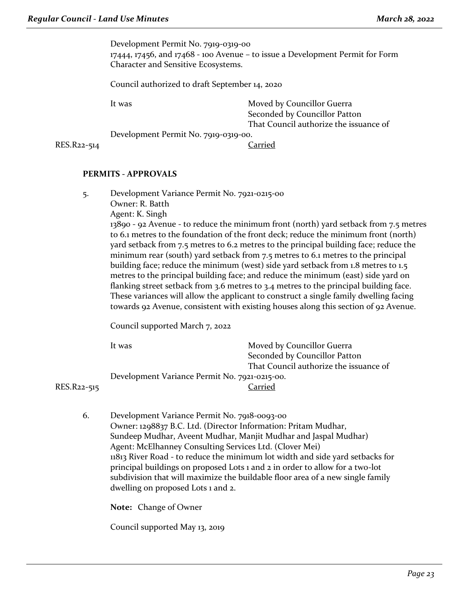Development Permit No. 7919-0319-00 17444, 17456, and 17468 ‐ 100 Avenue – to issue a Development Permit for Form Character and Sensitive Ecosystems.

Council authorized to draft September 14, 2020

It was **Moved by Councillor Guerra** Seconded by Councillor Patton That Council authorize the issuance of

Development Permit No. 7919-0319-00.

RES.R22-514 Carried

#### **PERMITS - APPROVALS**

5. Development Variance Permit No. 7921-0215-00 Owner: R. Batth

Agent: K. Singh

13890 - 92 Avenue - to reduce the minimum front (north) yard setback from 7.5 metres to 6.1 metres to the foundation of the front deck; reduce the minimum front (north) yard setback from 7.5 metres to 6.2 metres to the principal building face; reduce the minimum rear (south) yard setback from 7.5 metres to 6.1 metres to the principal building face; reduce the minimum (west) side yard setback from 1.8 metres to 1.5 metres to the principal building face; and reduce the minimum (east) side yard on flanking street setback from 3.6 metres to 3.4 metres to the principal building face. These variances will allow the applicant to construct a single family dwelling facing towards 92 Avenue, consistent with existing houses along this section of 92 Avenue.

Council supported March 7, 2022

| It was                                        | Moved by Councillor Guerra             |
|-----------------------------------------------|----------------------------------------|
|                                               | Seconded by Councillor Patton          |
|                                               | That Council authorize the issuance of |
| Development Variance Permit No. 7921-0215-00. |                                        |
|                                               | Carried                                |

RES.R<sub>22-515</sub>

6. Development Variance Permit No. 7918-0093-00 Owner: 1298837 B.C. Ltd. (Director Information: Pritam Mudhar, Sundeep Mudhar, Aveent Mudhar, Manjit Mudhar and Jaspal Mudhar) Agent: McElhanney Consulting Services Ltd. (Clover Mei) 11813 River Road - to reduce the minimum lot width and side yard setbacks for principal buildings on proposed Lots 1 and 2 in order to allow for a two-lot subdivision that will maximize the buildable floor area of a new single family dwelling on proposed Lots 1 and 2.

**Note:** Change of Owner

Council supported May 13, 2019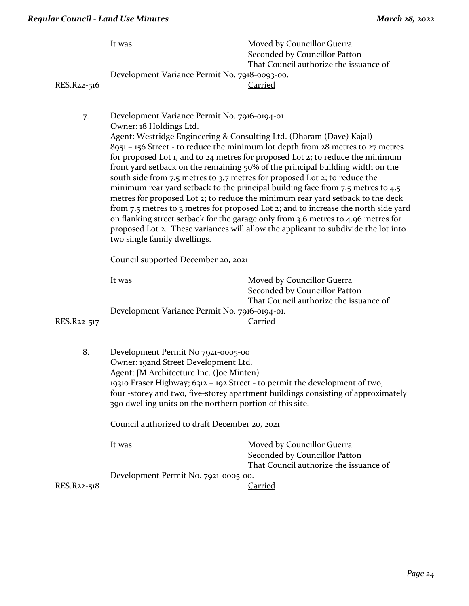| RES.R22-516 | It was<br>Development Variance Permit No. 7918-0093-00.                                                                                                                                                                                                                                                                                                                                                                                                                                                                                                                                                                                                                                                                                                                                                                                                                                                                                                     | Moved by Councillor Guerra<br>Seconded by Councillor Patton<br>That Council authorize the issuance of<br><u>Carried</u> |  |
|-------------|-------------------------------------------------------------------------------------------------------------------------------------------------------------------------------------------------------------------------------------------------------------------------------------------------------------------------------------------------------------------------------------------------------------------------------------------------------------------------------------------------------------------------------------------------------------------------------------------------------------------------------------------------------------------------------------------------------------------------------------------------------------------------------------------------------------------------------------------------------------------------------------------------------------------------------------------------------------|-------------------------------------------------------------------------------------------------------------------------|--|
| 7.          | Development Variance Permit No. 7916-0194-01<br>Owner: 18 Holdings Ltd.<br>Agent: Westridge Engineering & Consulting Ltd. (Dharam (Dave) Kajal)<br>8951 - 156 Street - to reduce the minimum lot depth from 28 metres to 27 metres<br>for proposed Lot 1, and to 24 metres for proposed Lot 2; to reduce the minimum<br>front yard setback on the remaining 50% of the principal building width on the<br>south side from 7.5 metres to 3.7 metres for proposed Lot 2; to reduce the<br>minimum rear yard setback to the principal building face from 7.5 metres to 4.5<br>metres for proposed Lot 2; to reduce the minimum rear yard setback to the deck<br>from 7.5 metres to 3 metres for proposed Lot 2; and to increase the north side yard<br>on flanking street setback for the garage only from 3.6 metres to 4.96 metres for<br>proposed Lot 2. These variances will allow the applicant to subdivide the lot into<br>two single family dwellings. |                                                                                                                         |  |
|             | Council supported December 20, 2021                                                                                                                                                                                                                                                                                                                                                                                                                                                                                                                                                                                                                                                                                                                                                                                                                                                                                                                         |                                                                                                                         |  |
| RES.R22-517 | It was<br>Development Variance Permit No. 7916-0194-01.                                                                                                                                                                                                                                                                                                                                                                                                                                                                                                                                                                                                                                                                                                                                                                                                                                                                                                     | Moved by Councillor Guerra<br>Seconded by Councillor Patton<br>That Council authorize the issuance of<br><u>Carried</u> |  |
| 8.          | Development Permit No 7921-0005-00<br>Owner: 192nd Street Development Ltd.<br>Agent: JM Architecture Inc. (Joe Minten)<br>19310 Fraser Highway; 6312 - 192 Street - to permit the development of two,<br>four -storey and two, five-storey apartment buildings consisting of approximately<br>390 dwelling units on the northern portion of this site.                                                                                                                                                                                                                                                                                                                                                                                                                                                                                                                                                                                                      |                                                                                                                         |  |
|             | Council authorized to draft December 20, 2021                                                                                                                                                                                                                                                                                                                                                                                                                                                                                                                                                                                                                                                                                                                                                                                                                                                                                                               |                                                                                                                         |  |
|             | It was                                                                                                                                                                                                                                                                                                                                                                                                                                                                                                                                                                                                                                                                                                                                                                                                                                                                                                                                                      | Moved by Councillor Guerra<br>Seconded by Councillor Patton<br>That Council authorize the issuance of                   |  |
|             | Development Permit No. 7921-0005-00.                                                                                                                                                                                                                                                                                                                                                                                                                                                                                                                                                                                                                                                                                                                                                                                                                                                                                                                        |                                                                                                                         |  |
| RES.R22-518 |                                                                                                                                                                                                                                                                                                                                                                                                                                                                                                                                                                                                                                                                                                                                                                                                                                                                                                                                                             | <b>Carried</b>                                                                                                          |  |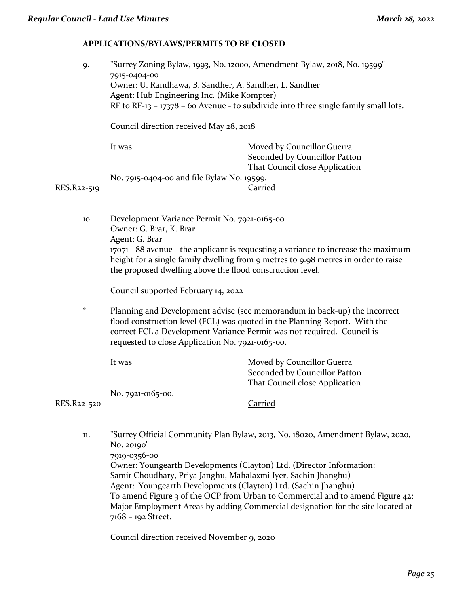#### **APPLICATIONS/BYLAWS/PERMITS TO BE CLOSED**

| 9.          | "Surrey Zoning Bylaw, 1993, No. 12000, Amendment Bylaw, 2018, No. 19599"            |                                |  |  |
|-------------|-------------------------------------------------------------------------------------|--------------------------------|--|--|
|             | 7915-0404-00                                                                        |                                |  |  |
|             | Owner: U. Randhawa, B. Sandher, A. Sandher, L. Sandher                              |                                |  |  |
|             | Agent: Hub Engineering Inc. (Mike Kompter)                                          |                                |  |  |
|             | RF to RF-13 - 17378 - 60 Avenue - to subdivide into three single family small lots. |                                |  |  |
|             | Council direction received May 28, 2018                                             |                                |  |  |
|             | It was                                                                              | Moved by Councillor Guerra     |  |  |
|             |                                                                                     | Seconded by Councillor Patton  |  |  |
|             |                                                                                     | That Council close Application |  |  |
|             | No. 7915-0404-00 and file Bylaw No. 19599.                                          |                                |  |  |
| RES.R22-519 | Carried                                                                             |                                |  |  |
|             |                                                                                     |                                |  |  |

10. Development Variance Permit No. 7921-0165-00 Owner: G. Brar, K. Brar Agent: G. Brar 17071 - 88 avenue - the applicant is requesting a variance to increase the maximum height for a single family dwelling from 9 metres to 9.98 metres in order to raise the proposed dwelling above the flood construction level.

Council supported February 14, 2022

\* Planning and Development advise (see memorandum in back-up) the incorrect flood construction level (FCL) was quoted in the Planning Report. With the correct FCL a Development Variance Permit was not required. Council is requested to close Application No. 7921-0165-00.

|             | lt was            | Moved by Councillor Guerra     |
|-------------|-------------------|--------------------------------|
|             |                   | Seconded by Councillor Patton  |
|             |                   | That Council close Application |
|             | No. 7921-0165-00. |                                |
| RES.R22-520 |                   | Carried                        |

11. "Surrey Official Community Plan Bylaw, 2013, No. 18020, Amendment Bylaw, 2020, No. 20190" 7919-0356-00 Owner: Youngearth Developments (Clayton) Ltd. (Director Information: Samir Choudhary, Priya Janghu, Mahalaxmi Iyer, Sachin Jhanghu) Agent: Youngearth Developments (Clayton) Ltd. (Sachin Jhanghu) To amend Figure 3 of the OCP from Urban to Commercial and to amend Figure 42: Major Employment Areas by adding Commercial designation for the site located at 7168 – 192 Street.

Council direction received November 9, 2020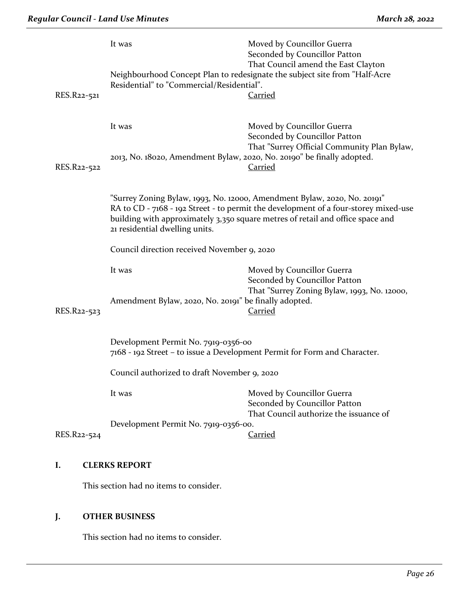|  | RES.R22-521 | It was<br>Residential" to "Commercial/Residential".                                                                                                                                                                                                                                 | Moved by Councillor Guerra<br>Seconded by Councillor Patton<br>That Council amend the East Clayton<br>Neighbourhood Concept Plan to redesignate the subject site from "Half-Acre<br><b>Carried</b> |  |
|--|-------------|-------------------------------------------------------------------------------------------------------------------------------------------------------------------------------------------------------------------------------------------------------------------------------------|----------------------------------------------------------------------------------------------------------------------------------------------------------------------------------------------------|--|
|  | RES.R22-522 | It was<br>2013, No. 18020, Amendment Bylaw, 2020, No. 20190" be finally adopted.                                                                                                                                                                                                    | Moved by Councillor Guerra<br>Seconded by Councillor Patton<br>That "Surrey Official Community Plan Bylaw,<br><b>Carried</b>                                                                       |  |
|  |             | "Surrey Zoning Bylaw, 1993, No. 12000, Amendment Bylaw, 2020, No. 20191"<br>RA to CD - 7168 - 192 Street - to permit the development of a four-storey mixed-use<br>building with approximately 3,350 square metres of retail and office space and<br>21 residential dwelling units. |                                                                                                                                                                                                    |  |
|  |             | Council direction received November 9, 2020                                                                                                                                                                                                                                         |                                                                                                                                                                                                    |  |
|  | RES.R22-523 | It was<br>Amendment Bylaw, 2020, No. 20191" be finally adopted.                                                                                                                                                                                                                     | Moved by Councillor Guerra<br>Seconded by Councillor Patton<br>That "Surrey Zoning Bylaw, 1993, No. 12000,<br><b>Carried</b>                                                                       |  |
|  |             | Development Permit No. 7919-0356-00                                                                                                                                                                                                                                                 | 7168 - 192 Street – to issue a Development Permit for Form and Character.<br>Council authorized to draft November 9, 2020                                                                          |  |
|  |             |                                                                                                                                                                                                                                                                                     |                                                                                                                                                                                                    |  |
|  | RES.R22-524 | It was<br>Development Permit No. 7919-0356-00.                                                                                                                                                                                                                                      | Moved by Councillor Guerra<br>Seconded by Councillor Patton<br>That Council authorize the issuance of<br><b>Carried</b>                                                                            |  |
|  |             |                                                                                                                                                                                                                                                                                     |                                                                                                                                                                                                    |  |

# **I. CLERKS REPORT**

This section had no items to consider.

# **J. OTHER BUSINESS**

This section had no items to consider.